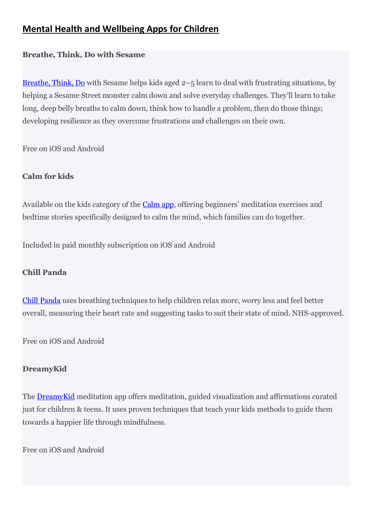# **Mental Health and Wellbeing Apps for Children**

## **Breathe, Think, Do with Sesame**

[Breathe, Think, Do](https://play.google.com/store/apps/details?id=air.com.sesameworkshop.ResilienceThinkBreathDo&hl=en_GB) with Sesame helps kids aged 2–5 learn to deal with frustrating situations, by helping a Sesame Street monster calm down and solve everyday challenges. They'll learn to take long, deep belly breaths to calm down, think how to handle a problem, then do those things; developing resilience as they overcome frustrations and challenges on their own.

Free on iOS and Android

# **Calm for kids**

Available on the kids category of the **[Calm app](https://www.calm.com/)**, offering beginners' meditation exercises and bedtime stories specifically designed to calm the mind, which families can do together.

Included in paid monthly subscription on iOS and Android

# **Chill Panda**

[Chill Panda](http://chillpanda.co.uk/) uses breathing techniques to help children relax more, worry less and feel better overall, measuring their heart rate and suggesting tasks to suit their state of mind. NHS-approved.

Free on iOS and Android

### **DreamyKid**

The [DreamyKid](https://dreamykid.com/) meditation app offers meditation, guided visualization and affirmations curated just for children & teens. It uses proven techniques that teach your kids methods to guide them towards a happier life through mindfulness.

Free on iOS and Android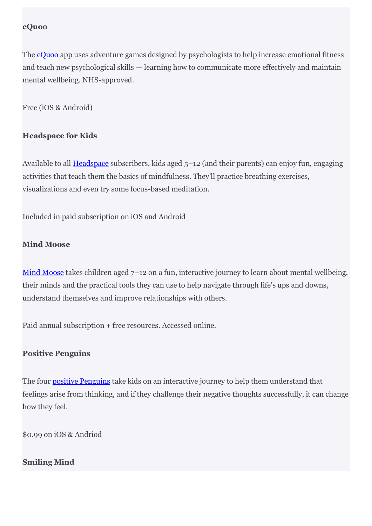#### **eQuoo**

The **[eQuoo](https://equoogame.com/)** app uses adventure games designed by psychologists to help increase emotional fitness and teach new psychological skills — learning how to communicate more effectively and maintain mental wellbeing. NHS-approved.

Free (iOS & Android)

#### **Headspace for Kids**

Available to all **[Headspace](https://www.headspace.com/meditation/kids)** subscribers, kids aged 5–12 (and their parents) can enjoy fun, engaging activities that teach them the basics of mindfulness. They'll practice breathing exercises, visualizations and even try some focus-based meditation.

Included in paid subscription on iOS and Android

#### **Mind Moose**

[Mind Moose](https://www.mindmoose.co.uk/) takes children aged 7–12 on a fun, interactive journey to learn about mental wellbeing, their minds and the practical tools they can use to help navigate through life's ups and downs, understand themselves and improve relationships with others.

Paid annual subscription + free resources. Accessed online.

#### **Positive Penguins**

The four [positive Penguins](https://positivepenguins.com/) take kids on an interactive journey to help them understand that feelings arise from thinking, and if they challenge their negative thoughts successfully, it can change how they feel.

\$0.99 on iOS & Andriod

#### **Smiling Mind**